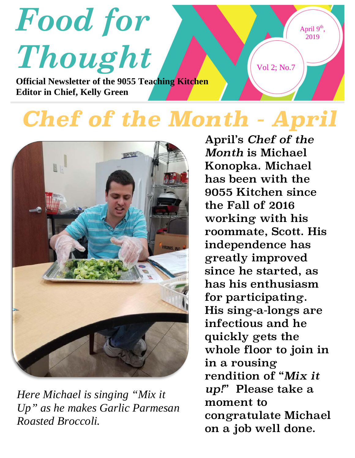

## *Chef of the Month - April*



*Here Michael is singing "Mix it Up" as he makes Garlic Parmesan Roasted Broccoli.*

April's *Chef of the Month* is Michael Konopka. Michael has been with the 9055 Kitchen since the Fall of 2016 working with his roommate, Scott. His independence has greatly improved since he started, as has his enthusiasm for participating. His sing-a-longs are infectious and he quickly gets the whole floor to join in in a rousing rendition of "*Mix it up!*" Please take a moment to congratulate Michael on a job well done.